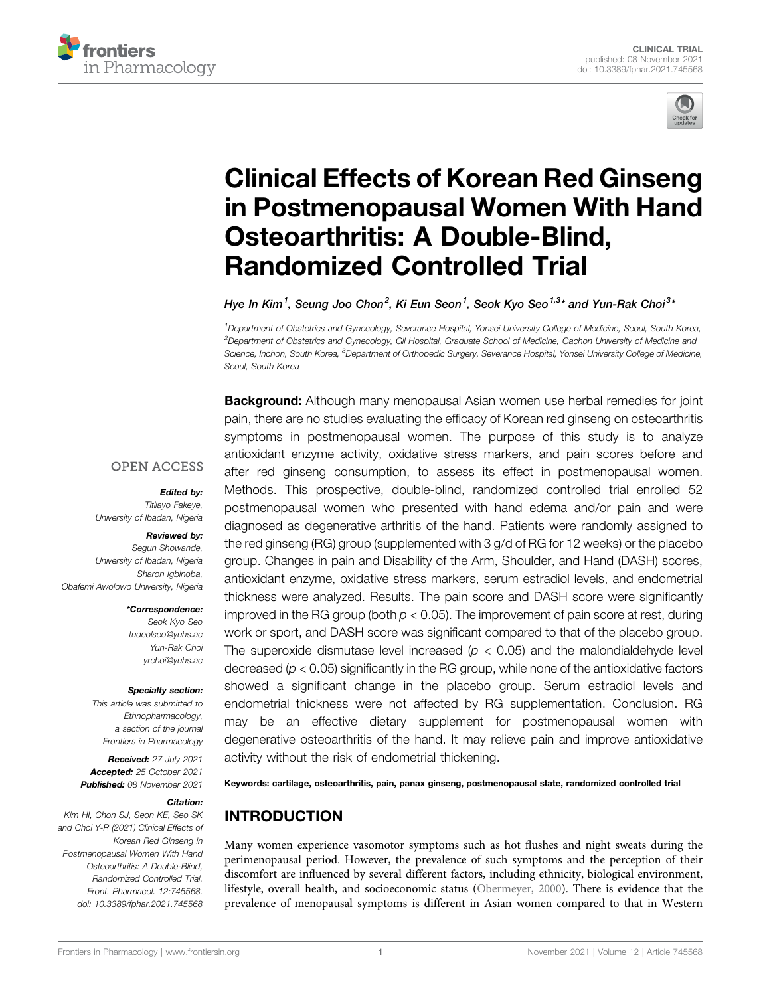



# [Clinical Effects of Korean Red Ginseng](https://www.frontiersin.org/articles/10.3389/fphar.2021.745568/full) [in Postmenopausal Women With Hand](https://www.frontiersin.org/articles/10.3389/fphar.2021.745568/full) [Osteoarthritis: A Double-Blind,](https://www.frontiersin.org/articles/10.3389/fphar.2021.745568/full) [Randomized Controlled Trial](https://www.frontiersin.org/articles/10.3389/fphar.2021.745568/full)

Hye In Kim<sup>1</sup>, Seung Joo Chon<sup>2</sup>, Ki Eun Seon<sup>1</sup>, Seok Kyo Seo<sup>1,3</sup>\* and Yun-Rak Choi<sup>3,</sup>

1 Department of Obstetrics and Gynecology, Severance Hospital, Yonsei University College of Medicine, Seoul, South Korea, 2 Department of Obstetrics and Gynecology, Gil Hospital, Graduate School of Medicine, Gachon University of Medicine and Science, Inchon, South Korea, <sup>3</sup>Department of Orthopedic Surgery, Severance Hospital, Yonsei University College of Medicine, Seoul, South Korea

**Background:** Although many menopausal Asian women use herbal remedies for joint

**OPEN ACCESS** 

## Edited by:

Titilayo Fakeye, University of Ibadan, Nigeria

#### Reviewed by:

Segun Showande, University of Ibadan, Nigeria Sharon Igbinoba, Obafemi Awolowo University, Nigeria

#### \*Correspondence:

Seok Kyo Seo [tudeolseo@yuhs.ac](mailto:tudeolseo@yuhs.ac) Yun-Rak Choi [yrchoi@yuhs.ac](mailto:yrchoi@yuhs.ac)

#### Specialty section:

This article was submitted to Ethnopharmacology, a section of the journal Frontiers in Pharmacology

Received: 27 July 2021 Accepted: 25 October 2021 Published: 08 November 2021

#### Citation:

Kim HI, Chon SJ, Seon KE, Seo SK and Choi Y-R (2021) Clinical Effects of Korean Red Ginseng in Postmenopausal Women With Hand Osteoarthritis: A Double-Blind, Randomized Controlled Trial. Front. Pharmacol. 12:745568. doi: [10.3389/fphar.2021.745568](https://doi.org/10.3389/fphar.2021.745568)

pain, there are no studies evaluating the efficacy of Korean red ginseng on osteoarthritis symptoms in postmenopausal women. The purpose of this study is to analyze antioxidant enzyme activity, oxidative stress markers, and pain scores before and after red ginseng consumption, to assess its effect in postmenopausal women. Methods. This prospective, double-blind, randomized controlled trial enrolled 52 postmenopausal women who presented with hand edema and/or pain and were diagnosed as degenerative arthritis of the hand. Patients were randomly assigned to the red ginseng (RG) group (supplemented with 3 g/d of RG for 12 weeks) or the placebo group. Changes in pain and Disability of the Arm, Shoulder, and Hand (DASH) scores, antioxidant enzyme, oxidative stress markers, serum estradiol levels, and endometrial thickness were analyzed. Results. The pain score and DASH score were significantly improved in the RG group (both  $p < 0.05$ ). The improvement of pain score at rest, during work or sport, and DASH score was significant compared to that of the placebo group. The superoxide dismutase level increased ( $p < 0.05$ ) and the malondialdehyde level decreased ( $p < 0.05$ ) significantly in the RG group, while none of the antioxidative factors showed a significant change in the placebo group. Serum estradiol levels and endometrial thickness were not affected by RG supplementation. Conclusion. RG may be an effective dietary supplement for postmenopausal women with degenerative osteoarthritis of the hand. It may relieve pain and improve antioxidative activity without the risk of endometrial thickening.

Keywords: cartilage, osteoarthritis, pain, panax ginseng, postmenopausal state, randomized controlled trial

## INTRODUCTION

Many women experience vasomotor symptoms such as hot flushes and night sweats during the perimenopausal period. However, the prevalence of such symptoms and the perception of their discomfort are influenced by several different factors, including ethnicity, biological environment, lifestyle, overall health, and socioeconomic status [\(Obermeyer, 2000](#page-7-0)). There is evidence that the prevalence of menopausal symptoms is different in Asian women compared to that in Western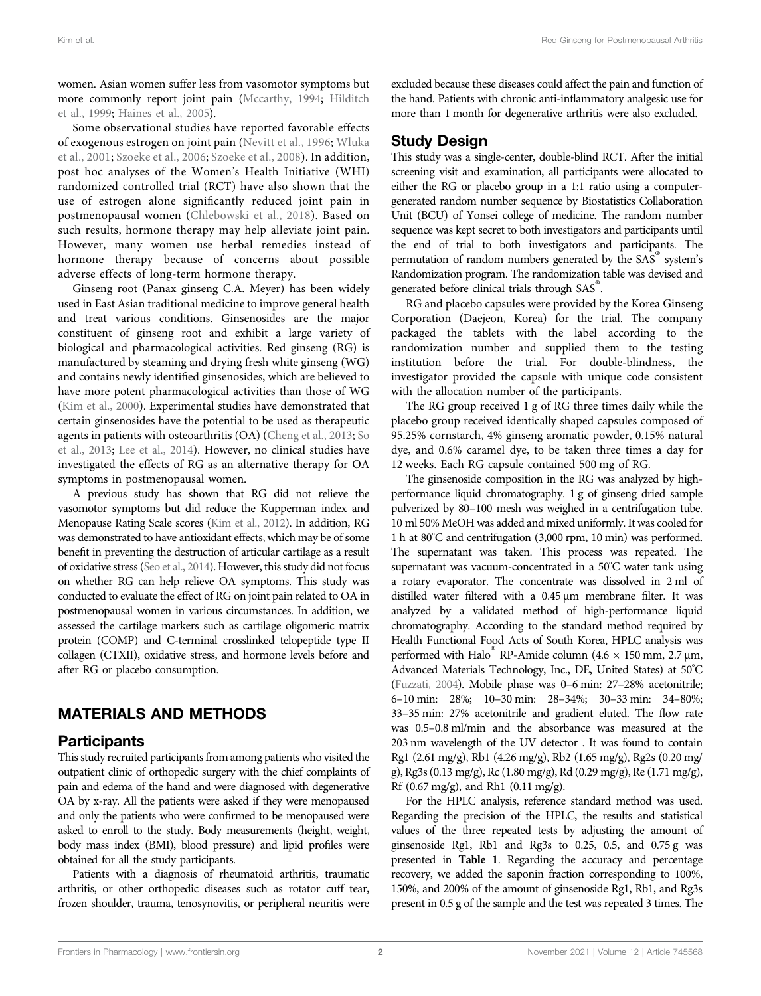women. Asian women suffer less from vasomotor symptoms but more commonly report joint pain [\(Mccarthy, 1994](#page-7-1); [Hilditch](#page-7-2) [et al., 1999](#page-7-2); [Haines et al., 2005\)](#page-7-3).

Some observational studies have reported favorable effects of exogenous estrogen on joint pain [\(Nevitt et al., 1996;](#page-7-4) [Wluka](#page-7-5) [et al., 2001;](#page-7-5) [Szoeke et al., 2006](#page-7-6); [Szoeke et al., 2008\)](#page-7-7). In addition, post hoc analyses of the Women's Health Initiative (WHI) randomized controlled trial (RCT) have also shown that the use of estrogen alone significantly reduced joint pain in postmenopausal women ([Chlebowski et al., 2018](#page-7-8)). Based on such results, hormone therapy may help alleviate joint pain. However, many women use herbal remedies instead of hormone therapy because of concerns about possible adverse effects of long-term hormone therapy.

Ginseng root (Panax ginseng C.A. Meyer) has been widely used in East Asian traditional medicine to improve general health and treat various conditions. Ginsenosides are the major constituent of ginseng root and exhibit a large variety of biological and pharmacological activities. Red ginseng (RG) is manufactured by steaming and drying fresh white ginseng (WG) and contains newly identified ginsenosides, which are believed to have more potent pharmacological activities than those of WG ([Kim et al., 2000\)](#page-7-9). Experimental studies have demonstrated that certain ginsenosides have the potential to be used as therapeutic agents in patients with osteoarthritis (OA) [\(Cheng et al., 2013;](#page-7-10) [So](#page-7-11) [et al., 2013](#page-7-11); [Lee et al., 2014](#page-7-12)). However, no clinical studies have investigated the effects of RG as an alternative therapy for OA symptoms in postmenopausal women.

A previous study has shown that RG did not relieve the vasomotor symptoms but did reduce the Kupperman index and Menopause Rating Scale scores [\(Kim et al., 2012](#page-7-13)). In addition, RG was demonstrated to have antioxidant effects, which may be of some benefit in preventing the destruction of articular cartilage as a result of oxidative stress ([Seo et al., 2014\)](#page-7-14). However, this study did not focus on whether RG can help relieve OA symptoms. This study was conducted to evaluate the effect of RG on joint pain related to OA in postmenopausal women in various circumstances. In addition, we assessed the cartilage markers such as cartilage oligomeric matrix protein (COMP) and C-terminal crosslinked telopeptide type II collagen (CTXII), oxidative stress, and hormone levels before and after RG or placebo consumption.

## MATERIALS AND METHODS

#### Participants

This study recruited participants from among patients who visited the outpatient clinic of orthopedic surgery with the chief complaints of pain and edema of the hand and were diagnosed with degenerative OA by x-ray. All the patients were asked if they were menopaused and only the patients who were confirmed to be menopaused were asked to enroll to the study. Body measurements (height, weight, body mass index (BMI), blood pressure) and lipid profiles were obtained for all the study participants.

Patients with a diagnosis of rheumatoid arthritis, traumatic arthritis, or other orthopedic diseases such as rotator cuff tear, frozen shoulder, trauma, tenosynovitis, or peripheral neuritis were excluded because these diseases could affect the pain and function of the hand. Patients with chronic anti-inflammatory analgesic use for more than 1 month for degenerative arthritis were also excluded.

### Study Design

This study was a single-center, double-blind RCT. After the initial screening visit and examination, all participants were allocated to either the RG or placebo group in a 1:1 ratio using a computergenerated random number sequence by Biostatistics Collaboration Unit (BCU) of Yonsei college of medicine. The random number sequence was kept secret to both investigators and participants until the end of trial to both investigators and participants. The permutation of random numbers generated by the SAS® system's Randomization program. The randomization table was devised and generated before clinical trials through SAS®.

RG and placebo capsules were provided by the Korea Ginseng Corporation (Daejeon, Korea) for the trial. The company packaged the tablets with the label according to the randomization number and supplied them to the testing institution before the trial. For double-blindness, the investigator provided the capsule with unique code consistent with the allocation number of the participants.

The RG group received 1 g of RG three times daily while the placebo group received identically shaped capsules composed of 95.25% cornstarch, 4% ginseng aromatic powder, 0.15% natural dye, and 0.6% caramel dye, to be taken three times a day for 12 weeks. Each RG capsule contained 500 mg of RG.

The ginsenoside composition in the RG was analyzed by highperformance liquid chromatography. 1 g of ginseng dried sample pulverized by 80–100 mesh was weighed in a centrifugation tube. 10 ml 50% MeOH was added and mixed uniformly. It was cooled for 1 h at 80° C and centrifugation (3,000 rpm, 10 min) was performed. The supernatant was taken. This process was repeated. The supernatant was vacuum-concentrated in a 50°C water tank using a rotary evaporator. The concentrate was dissolved in 2 ml of distilled water filtered with a 0.45 μm membrane filter. It was analyzed by a validated method of high-performance liquid chromatography. According to the standard method required by Health Functional Food Acts of South Korea, HPLC analysis was performed with Halo<sup>®</sup> RP-Amide column (4.6  $\times$  150 mm, 2.7 µm, Advanced Materials Technology, Inc., DE, United States) at 50° C [\(Fuzzati, 2004](#page-7-15)). Mobile phase was 0–6 min: 27–28% acetonitrile; 6–10 min: 28%; 10–30 min: 28–34%; 30–33 min: 34–80%; 33–35 min: 27% acetonitrile and gradient eluted. The flow rate was 0.5–0.8 ml/min and the absorbance was measured at the 203 nm wavelength of the UV detector . It was found to contain Rg1 (2.61 mg/g), Rb1 (4.26 mg/g), Rb2 (1.65 mg/g), Rg2s (0.20 mg/ g), Rg3s (0.13 mg/g), Rc (1.80 mg/g), Rd (0.29 mg/g), Re (1.71 mg/g), Rf (0.67 mg/g), and Rh1 (0.11 mg/g).

For the HPLC analysis, reference standard method was used. Regarding the precision of the HPLC, the results and statistical values of the three repeated tests by adjusting the amount of ginsenoside Rg1, Rb1 and Rg3s to 0.25, 0.5, and 0.75 g was presented in [Table 1](#page-2-0). Regarding the accuracy and percentage recovery, we added the saponin fraction corresponding to 100%, 150%, and 200% of the amount of ginsenoside Rg1, Rb1, and Rg3s present in 0.5 g of the sample and the test was repeated 3 times. The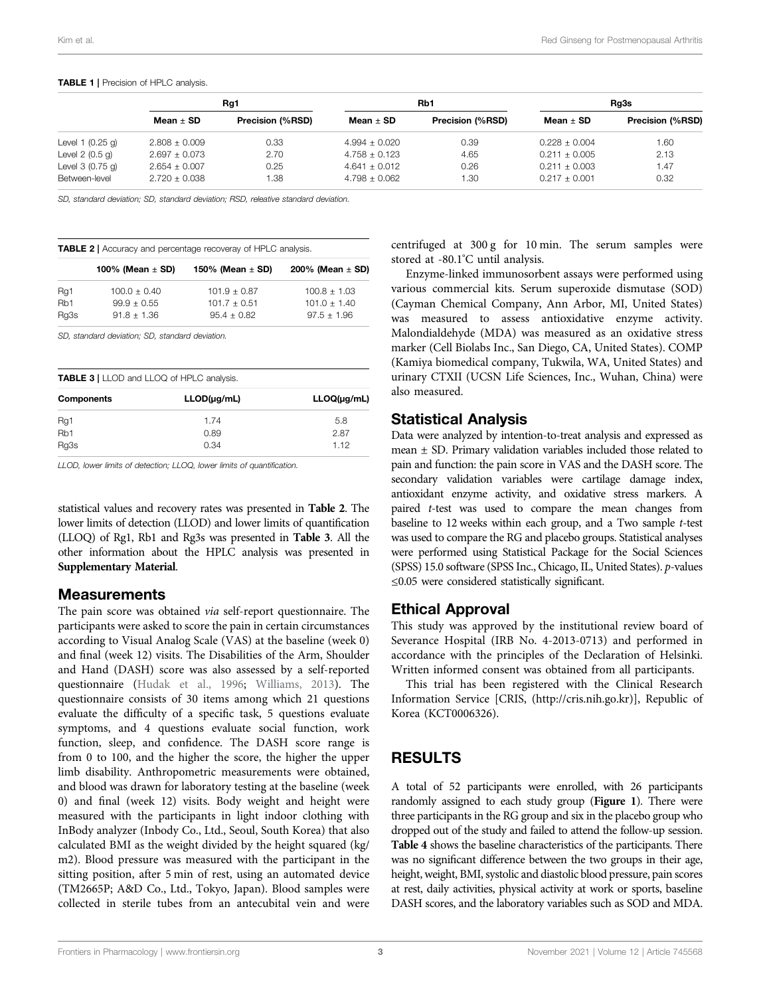#### <span id="page-2-0"></span>TABLE 1 | Precision of HPLC analysis.

|                    | Rg1               |                         | Rb1               |                  | Rg3s              |                  |
|--------------------|-------------------|-------------------------|-------------------|------------------|-------------------|------------------|
|                    | Mean $\pm$ SD     | <b>Precision (%RSD)</b> | Mean $\pm$ SD     | Precision (%RSD) | Mean $\pm$ SD     | Precision (%RSD) |
| Level 1 $(0.25$ g) | $2.808 \pm 0.009$ | 0.33                    | $4.994 \pm 0.020$ | 0.39             | $0.228 \pm 0.004$ | 1.60             |
| Level $2(0.5q)$    | $2.697 \pm 0.073$ | 2.70                    | $4.758 \pm 0.123$ | 4.65             | $0.211 \pm 0.005$ | 2.13             |
| Level $3(0.75)$ g) | $2.654 \pm 0.007$ | 0.25                    | $4.641 \pm 0.012$ | 0.26             | $0.211 \pm 0.003$ | 1.47             |
| Between-level      | $2.720 \pm 0.038$ | .38                     | $4.798 \pm 0.062$ | 1.30             | $0.217 \pm 0.001$ | 0.32             |

SD, standard deviation; SD, standard deviation; RSD, releative standard deviation.

<span id="page-2-1"></span>

| <b>TABLE 2</b>   Accuracy and percentage recoveray of HPLC analysis. |                      |                      |                      |
|----------------------------------------------------------------------|----------------------|----------------------|----------------------|
|                                                                      | 100% (Mean $\pm$ SD) | 150% (Mean $\pm$ SD) | 200% (Mean $\pm$ SD) |
| Rq1                                                                  | $100.0 \pm 0.40$     | $101.9 \pm 0.87$     | $100.8 + 1.03$       |
| R <sub>b</sub> 1                                                     | $99.9 \pm 0.55$      | $101.7 \pm 0.51$     | $101.0 + 1.40$       |
| Rg3s                                                                 | $91.8 + 1.36$        | $95.4 + 0.82$        | $97.5 + 1.96$        |

SD, standard deviation; SD, standard deviation.

<span id="page-2-2"></span>

| <b>TABLE 3</b>   LLOD and LLOQ of HPLC analysis. |                  |                  |  |
|--------------------------------------------------|------------------|------------------|--|
| <b>Components</b>                                | $LLOD(\mu q/mL)$ | $LLOQ(\mu g/mL)$ |  |
| Rg1                                              | 174              | 5.8              |  |
| Rb1                                              | 0.89             | 2.87             |  |
| Rg3s                                             | 0.34             | 1.12             |  |

LLOD, lower limits of detection; LLOQ, lower limits of quantification.

statistical values and recovery rates was presented in [Table 2](#page-2-1). The lower limits of detection (LLOD) and lower limits of quantification (LLOQ) of Rg1, Rb1 and Rg3s was presented in [Table 3](#page-2-2). All the other information about the HPLC analysis was presented in [Supplementary Material](#page-6-0).

#### Measurements

The pain score was obtained via self-report questionnaire. The participants were asked to score the pain in certain circumstances according to Visual Analog Scale (VAS) at the baseline (week 0) and final (week 12) visits. The Disabilities of the Arm, Shoulder and Hand (DASH) score was also assessed by a self-reported questionnaire [\(Hudak et al., 1996;](#page-7-16) [Williams, 2013\)](#page-7-17). The questionnaire consists of 30 items among which 21 questions evaluate the difficulty of a specific task, 5 questions evaluate symptoms, and 4 questions evaluate social function, work function, sleep, and confidence. The DASH score range is from 0 to 100, and the higher the score, the higher the upper limb disability. Anthropometric measurements were obtained, and blood was drawn for laboratory testing at the baseline (week 0) and final (week 12) visits. Body weight and height were measured with the participants in light indoor clothing with InBody analyzer (Inbody Co., Ltd., Seoul, South Korea) that also calculated BMI as the weight divided by the height squared (kg/ m2). Blood pressure was measured with the participant in the sitting position, after 5 min of rest, using an automated device (TM2665P; A&D Co., Ltd., Tokyo, Japan). Blood samples were collected in sterile tubes from an antecubital vein and were

centrifuged at 300 g for 10 min. The serum samples were stored at -80.1°C until analysis.

Enzyme-linked immunosorbent assays were performed using various commercial kits. Serum superoxide dismutase (SOD) (Cayman Chemical Company, Ann Arbor, MI, United States) was measured to assess antioxidative enzyme activity. Malondialdehyde (MDA) was measured as an oxidative stress marker (Cell Biolabs Inc., San Diego, CA, United States). COMP (Kamiya biomedical company, Tukwila, WA, United States) and urinary CTXII (UCSN Life Sciences, Inc., Wuhan, China) were also measured.

### Statistical Analysis

Data were analyzed by intention-to-treat analysis and expressed as mean ± SD. Primary validation variables included those related to pain and function: the pain score in VAS and the DASH score. The secondary validation variables were cartilage damage index, antioxidant enzyme activity, and oxidative stress markers. A paired t-test was used to compare the mean changes from baseline to 12 weeks within each group, and a Two sample t-test was used to compare the RG and placebo groups. Statistical analyses were performed using Statistical Package for the Social Sciences (SPSS) 15.0 software (SPSS Inc., Chicago, IL, United States). p-values ≤0.05 were considered statistically significant.

## Ethical Approval

This study was approved by the institutional review board of Severance Hospital (IRB No. 4-2013-0713) and performed in accordance with the principles of the Declaration of Helsinki. Written informed consent was obtained from all participants.

This trial has been registered with the Clinical Research Information Service [CRIS, [\(http://cris.nih.go.kr](http://cris.nih.go.kr))], Republic of Korea (KCT0006326).

## RESULTS

A total of 52 participants were enrolled, with 26 participants randomly assigned to each study group ([Figure 1](#page-3-0)). There were three participants in the RG group and six in the placebo group who dropped out of the study and failed to attend the follow-up session. [Table 4](#page-3-1) shows the baseline characteristics of the participants. There was no significant difference between the two groups in their age, height, weight, BMI, systolic and diastolic blood pressure, pain scores at rest, daily activities, physical activity at work or sports, baseline DASH scores, and the laboratory variables such as SOD and MDA.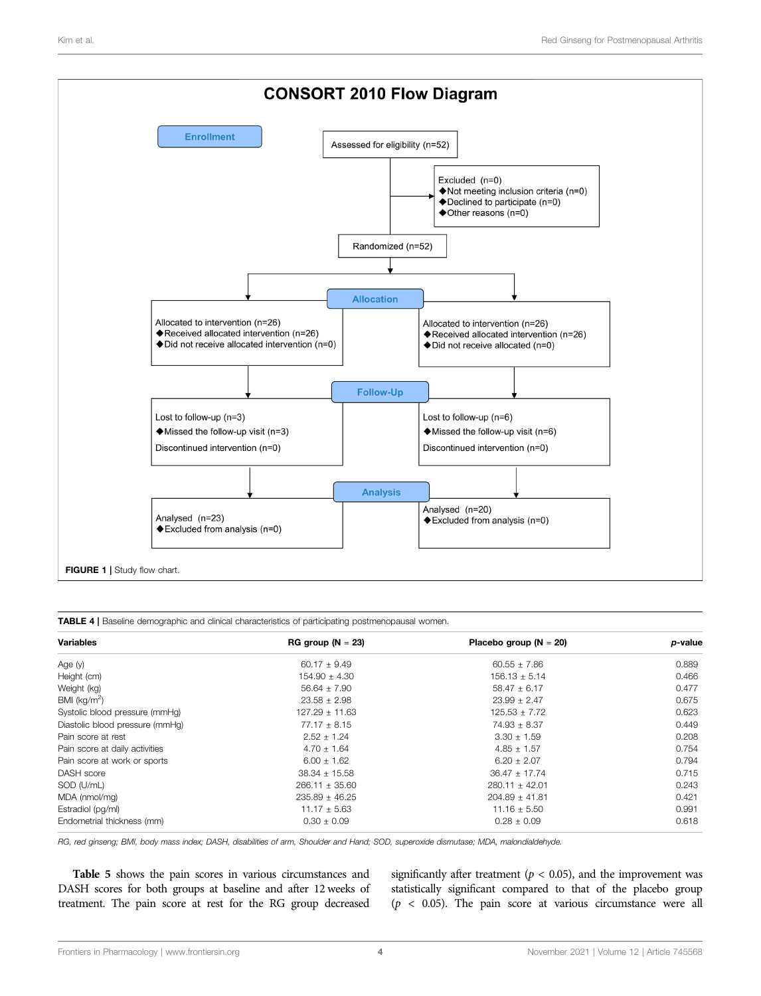

<span id="page-3-1"></span><span id="page-3-0"></span>

| TABLE 4   Baseline demographic and clinical characteristics of participating postmenopausal women. |  |
|----------------------------------------------------------------------------------------------------|--|
|----------------------------------------------------------------------------------------------------|--|

| <b>Variables</b>                | $RG$ group $(N = 23)$ | Placebo group ( $N = 20$ ) | p-value |
|---------------------------------|-----------------------|----------------------------|---------|
| Age (y)                         | $60.17 \pm 9.49$      | $60.55 \pm 7.86$           | 0.889   |
| Height (cm)                     | $154.90 \pm 4.30$     | $156.13 \pm 5.14$          | 0.466   |
| Weight (kg)                     | $56.64 \pm 7.90$      | $58.47 \pm 6.17$           | 0.477   |
| BMI ( $kg/m2$ )                 | $23.58 \pm 2.98$      | $23.99 \pm 2.47$           | 0.675   |
| Systolic blood pressure (mmHg)  | $127.29 \pm 11.63$    | 125.53 ± 7.72              | 0.623   |
| Diastolic blood pressure (mmHg) | $77.17 \pm 8.15$      | $74.93 \pm 8.37$           | 0.449   |
| Pain score at rest              | $2.52 \pm 1.24$       | $3.30 \pm 1.59$            | 0.208   |
| Pain score at daily activities  | $4.70 \pm 1.64$       | $4.85 \pm 1.57$            | 0.754   |
| Pain score at work or sports    | $6.00 \pm 1.62$       | $6.20 \pm 2.07$            | 0.794   |
| DASH score                      | $38.34 \pm 15.58$     | $36.47 \pm 17.74$          | 0.715   |
| SOD (U/mL)                      | $266.11 \pm 35.60$    | $280.11 \pm 42.01$         | 0.243   |
| MDA (nmol/mq)                   | $235.89 \pm 46.25$    | $204.89 \pm 41.81$         | 0.421   |
| Estradiol (pg/ml)               | $11.17 \pm 5.63$      | $11.16 \pm 5.50$           | 0.991   |
| Endometrial thickness (mm)      | $0.30 \pm 0.09$       | $0.28 \pm 0.09$            | 0.618   |

RG, red ginseng; BMI, body mass index; DASH, disabilities of arm, Shoulder and Hand; SOD, superoxide dismutase; MDA, malondialdehyde.

[Table 5](#page-4-0) shows the pain scores in various circumstances and DASH scores for both groups at baseline and after 12 weeks of treatment. The pain score at rest for the RG group decreased

significantly after treatment ( $p < 0.05$ ), and the improvement was statistically significant compared to that of the placebo group  $(p < 0.05)$ . The pain score at various circumstance were all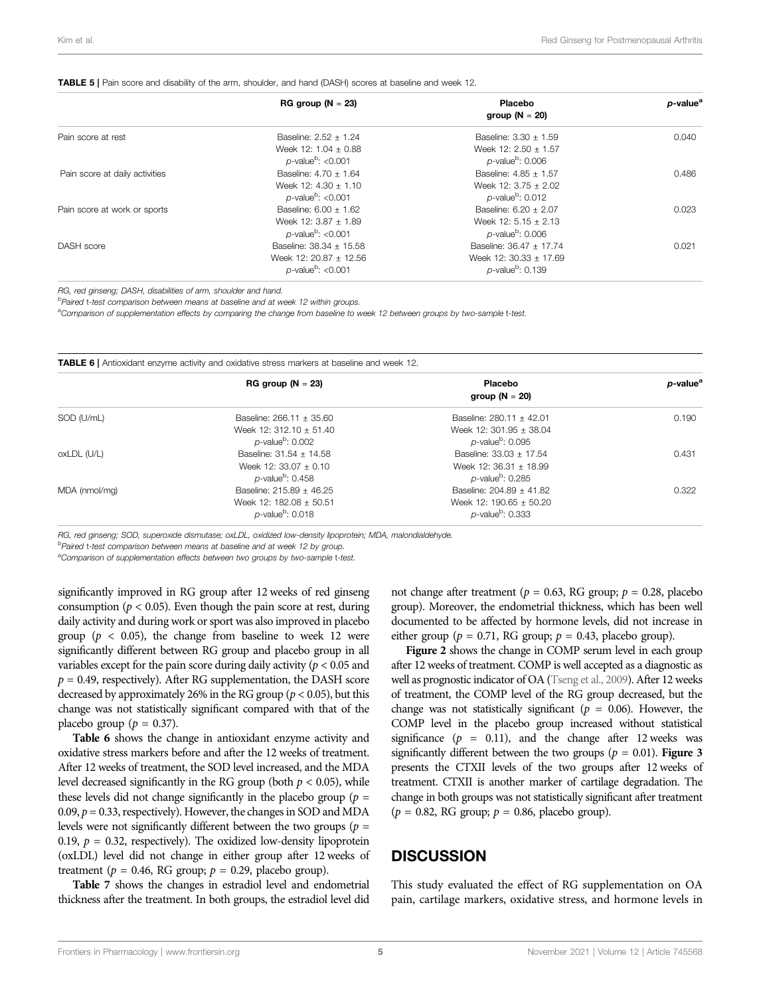#### <span id="page-4-0"></span>TABLE 5 | Pain score and disability of the arm, shoulder, and hand (DASH) scores at baseline and week 12.

|                                | $RG$ group $(N = 23)$            | Placebo<br>group ( $N = 20$ )   | p-value <sup>a</sup> |
|--------------------------------|----------------------------------|---------------------------------|----------------------|
| Pain score at rest             | Baseline: 2.52 + 1.24            | Baseline: $3.30 \pm 1.59$       | 0.040                |
|                                | Week 12: $1.04 \pm 0.88$         | Week 12: $2.50 \pm 1.57$        |                      |
|                                | $p$ -value <sup>b</sup> : <0.001 | $p$ -value <sup>b</sup> : 0.006 |                      |
| Pain score at daily activities | Baseline: $4.70 \pm 1.64$        | Baseline: $4.85 \pm 1.57$       | 0.486                |
|                                | Week 12: $4.30 \pm 1.10$         | Week $12: 3.75 + 2.02$          |                      |
|                                | $p$ -value <sup>b</sup> : <0.001 | $p$ -value <sup>b</sup> : 0.012 |                      |
| Pain score at work or sports   | Baseline: $6.00 \pm 1.62$        | Baseline: 6.20 + 2.07           | 0.023                |
|                                | Week 12: 3.87 + 1.89             | Week 12: $5.15 \pm 2.13$        |                      |
|                                | $p$ -value <sup>b</sup> : <0.001 | $p$ -value <sup>b</sup> : 0.006 |                      |
| DASH score                     | Baseline: 38.34 ± 15.58          | Baseline: 36.47 ± 17.74         | 0.021                |
|                                | Week 12: 20.87 + 12.56           | Week 12: $30.33 \pm 17.69$      |                      |
|                                | $p$ -value <sup>b</sup> : <0.001 | $p$ -value <sup>b</sup> : 0.139 |                      |

RG, red ginseng; DASH, disabilities of arm, shoulder and hand.

<sup>b</sup>Paired t-test comparison between means at baseline and at week 12 within groups.

<sup>a</sup>Comparison of supplementation effects by comparing the change from baseline to week 12 between groups by two-sample t-test.

TABLE 6 | Antioxidant enzyme activity and oxidative stress markers at baseline and week 12.

|               | $RG$ group $(N = 23)$           | Placebo                         | p-value <sup>a</sup> |
|---------------|---------------------------------|---------------------------------|----------------------|
|               |                                 | group ( $N = 20$ )              |                      |
| SOD (U/mL)    | Baseline: $266.11 \pm 35.60$    | Baseline: 280.11 ± 42.01        | 0.190                |
|               | Week 12: $312.10 \pm 51.40$     | Week 12: 301.95 $\pm$ 38.04     |                      |
|               | $p$ -value <sup>b</sup> : 0.002 | $p$ -value <sup>b</sup> : 0.095 |                      |
| oxLDL (U/L)   | Baseline: $31.54 \pm 14.58$     | Baseline: $33.03 \pm 17.54$     | 0.431                |
|               | Week 12: $33.07 \pm 0.10$       | Week 12: $36.31 \pm 18.99$      |                      |
|               | $p$ -value <sup>b</sup> : 0.458 | $p$ -value <sup>b</sup> : 0.285 |                      |
| MDA (nmol/mq) | Baseline: $215.89 \pm 46.25$    | Baseline: $204.89 \pm 41.82$    | 0.322                |
|               | Week $12: 182.08 + 50.51$       | Week $12: 190.65 + 50.20$       |                      |
|               | $p$ -value <sup>b</sup> : 0.018 | $p$ -value <sup>b</sup> : 0.333 |                      |

RG, red ginseng; SOD, superoxide dismutase; oxLDL, oxidized low-density lipoprotein; MDA, malondialdehyde.

<sup>b</sup>Paired t-test comparison between means at baseline and at week 12 by group.

<sup>a</sup>Comparison of supplementation effects between two groups by two-sample t-test.

significantly improved in RG group after 12 weeks of red ginseng consumption ( $p < 0.05$ ). Even though the pain score at rest, during daily activity and during work or sport was also improved in placebo group ( $p < 0.05$ ), the change from baseline to week 12 were significantly different between RG group and placebo group in all variables except for the pain score during daily activity ( $p < 0.05$  and  $p = 0.49$ , respectively). After RG supplementation, the DASH score decreased by approximately 26% in the RG group ( $p < 0.05$ ), but this change was not statistically significant compared with that of the placebo group ( $p = 0.37$ ).

[Table 6](#page-4-0) shows the change in antioxidant enzyme activity and oxidative stress markers before and after the 12 weeks of treatment. After 12 weeks of treatment, the SOD level increased, and the MDA level decreased significantly in the RG group (both  $p < 0.05$ ), while these levels did not change significantly in the placebo group ( $p =$  $0.09, p = 0.33$ , respectively). However, the changes in SOD and MDA levels were not significantly different between the two groups ( $p =$ 0.19,  $p = 0.32$ , respectively). The oxidized low-density lipoprotein (oxLDL) level did not change in either group after 12 weeks of treatment ( $p = 0.46$ , RG group;  $p = 0.29$ , placebo group).

[Table 7](#page-5-0) shows the changes in estradiol level and endometrial thickness after the treatment. In both groups, the estradiol level did

not change after treatment ( $p = 0.63$ , RG group;  $p = 0.28$ , placebors group). Moreover, the endometrial thickness, which has been well documented to be affected by hormone levels, did not increase in either group ( $p = 0.71$ , RG group;  $p = 0.43$ , placebo group).

[Figure 2](#page-5-1) shows the change in COMP serum level in each group after 12 weeks of treatment. COMP is well accepted as a diagnostic as well as prognostic indicator of OA [\(Tseng et al., 2009](#page-7-18)). After 12 weeks of treatment, the COMP level of the RG group decreased, but the change was not statistically significant ( $p = 0.06$ ). However, the COMP level in the placebo group increased without statistical significance ( $p = 0.11$ ), and the change after 12 weeks was significantly different between the two groups  $(p = 0.01)$ . [Figure 3](#page-5-2)<br>presents the CTXII levels of the two groups after 12 weeks of presents the CTXII levels of the two groups after 12 weeks of treatment. CTXII is another marker of cartilage degradation. The change in both groups was not statistically significant after treatment  $(p = 0.82, \text{ RG group}; p = 0.86, \text{placebo group}).$ 

## **DISCUSSION**

This study evaluated the effect of RG supplementation on OA pain, cartilage markers, oxidative stress, and hormone levels in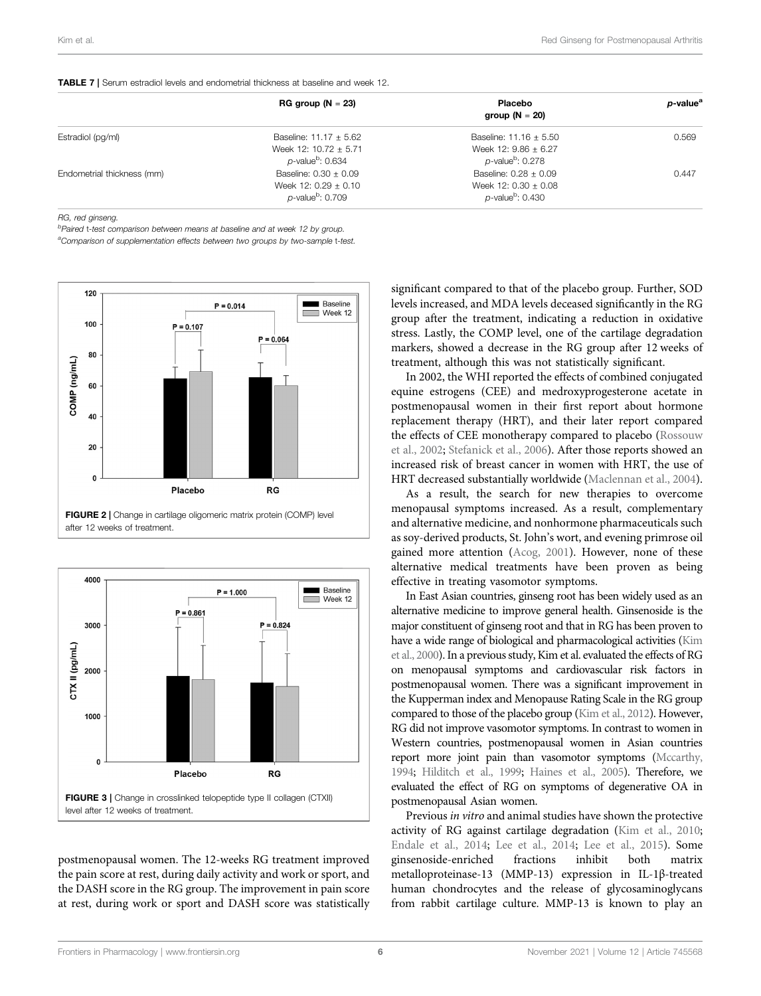<span id="page-5-0"></span>

|                            | $RG$ group $(N = 23)$           | <b>Placebo</b>                  | p-value <sup>a</sup> |
|----------------------------|---------------------------------|---------------------------------|----------------------|
|                            |                                 | group $(N = 20)$                |                      |
| Estradiol (pg/ml)          | Baseline: $11.17 \pm 5.62$      | Baseline: $11.16 \pm 5.50$      | 0.569                |
|                            | Week 12: $10.72 \pm 5.71$       | Week 12: $9.86 \pm 6.27$        |                      |
|                            | $p$ -value $b$ : 0.634          | $p$ -value <sup>b</sup> : 0.278 |                      |
| Endometrial thickness (mm) | Baseline: $0.30 \pm 0.09$       | Baseline: $0.28 \pm 0.09$       | 0.447                |
|                            | Week 12: $0.29 \pm 0.10$        | Week 12: $0.30 \pm 0.08$        |                      |
|                            | $p$ -value <sup>b</sup> : 0.709 | $p$ -value <sup>b</sup> : 0.430 |                      |

RG, red ginseng.

<sup>b</sup>Paired t-test comparison between means at baseline and at week 12 by group. <sup>a</sup>Comparison of supplementation effects between two groups by two-sample t-test.



<span id="page-5-1"></span>

<span id="page-5-2"></span>postmenopausal women. The 12-weeks RG treatment improved the pain score at rest, during daily activity and work or sport, and the DASH score in the RG group. The improvement in pain score at rest, during work or sport and DASH score was statistically

significant compared to that of the placebo group. Further, SOD levels increased, and MDA levels deceased significantly in the RG group after the treatment, indicating a reduction in oxidative stress. Lastly, the COMP level, one of the cartilage degradation markers, showed a decrease in the RG group after 12 weeks of treatment, although this was not statistically significant.

In 2002, the WHI reported the effects of combined conjugated equine estrogens (CEE) and medroxyprogesterone acetate in postmenopausal women in their first report about hormone replacement therapy (HRT), and their later report compared the effects of CEE monotherapy compared to placebo [\(Rossouw](#page-7-19) [et al., 2002;](#page-7-19) [Stefanick et al., 2006](#page-7-20)). After those reports showed an increased risk of breast cancer in women with HRT, the use of HRT decreased substantially worldwide [\(Maclennan et al., 2004\)](#page-7-21).

As a result, the search for new therapies to overcome menopausal symptoms increased. As a result, complementary and alternative medicine, and nonhormone pharmaceuticals such as soy-derived products, St. John's wort, and evening primrose oil gained more attention [\(Acog, 2001](#page-7-22)). However, none of these alternative medical treatments have been proven as being effective in treating vasomotor symptoms.

In East Asian countries, ginseng root has been widely used as an alternative medicine to improve general health. Ginsenoside is the major constituent of ginseng root and that in RG has been proven to have a wide range of biological and pharmacological activities [\(Kim](#page-7-9) [et al., 2000](#page-7-9)). In a previous study, Kim et al. evaluated the effects of RG on menopausal symptoms and cardiovascular risk factors in postmenopausal women. There was a significant improvement in the Kupperman index and Menopause Rating Scale in the RG group compared to those of the placebo group [\(Kim et al., 2012](#page-7-13)). However, RG did not improve vasomotor symptoms. In contrast to women in Western countries, postmenopausal women in Asian countries report more joint pain than vasomotor symptoms [\(Mccarthy,](#page-7-1) [1994](#page-7-1); [Hilditch et al., 1999](#page-7-2); [Haines et al., 2005](#page-7-3)). Therefore, we evaluated the effect of RG on symptoms of degenerative OA in postmenopausal Asian women.

Previous in vitro and animal studies have shown the protective activity of RG against cartilage degradation ([Kim et al., 2010;](#page-7-23) [Endale et al., 2014](#page-7-24); [Lee et al., 2014](#page-7-12); [Lee et al., 2015](#page-7-25)). Some ginsenoside-enriched fractions inhibit both matrix metalloproteinase-13 (MMP-13) expression in IL-1β-treated human chondrocytes and the release of glycosaminoglycans from rabbit cartilage culture. MMP-13 is known to play an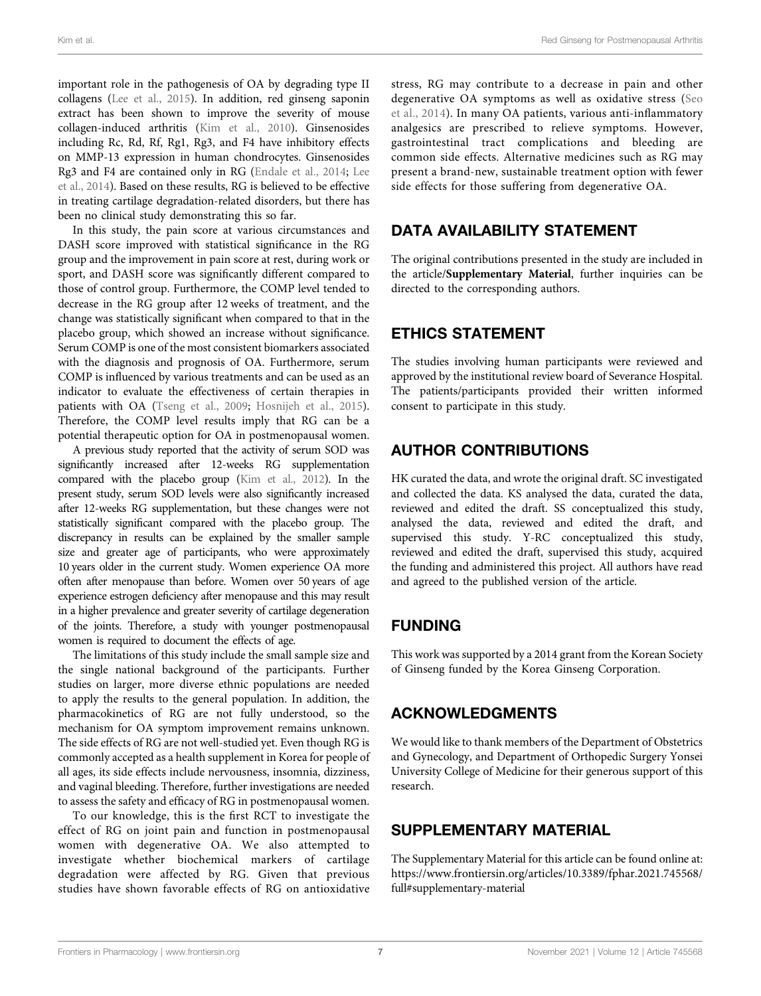important role in the pathogenesis of OA by degrading type II collagens [\(Lee et al., 2015\)](#page-7-25). In addition, red ginseng saponin extract has been shown to improve the severity of mouse collagen-induced arthritis [\(Kim et al., 2010\)](#page-7-23). Ginsenosides including Rc, Rd, Rf, Rg1, Rg3, and F4 have inhibitory effects on MMP-13 expression in human chondrocytes. Ginsenosides Rg3 and F4 are contained only in RG [\(Endale et al., 2014;](#page-7-24) [Lee](#page-7-12) [et al., 2014\)](#page-7-12). Based on these results, RG is believed to be effective in treating cartilage degradation-related disorders, but there has been no clinical study demonstrating this so far.

In this study, the pain score at various circumstances and DASH score improved with statistical significance in the RG group and the improvement in pain score at rest, during work or sport, and DASH score was significantly different compared to those of control group. Furthermore, the COMP level tended to decrease in the RG group after 12 weeks of treatment, and the change was statistically significant when compared to that in the placebo group, which showed an increase without significance. Serum COMP is one of the most consistent biomarkers associated with the diagnosis and prognosis of OA. Furthermore, serum COMP is influenced by various treatments and can be used as an indicator to evaluate the effectiveness of certain therapies in patients with OA [\(Tseng et al., 2009;](#page-7-18) [Hosnijeh et al., 2015\)](#page-7-26). Therefore, the COMP level results imply that RG can be a potential therapeutic option for OA in postmenopausal women.

A previous study reported that the activity of serum SOD was significantly increased after 12-weeks RG supplementation compared with the placebo group [\(Kim et al., 2012\)](#page-7-13). In the present study, serum SOD levels were also significantly increased after 12-weeks RG supplementation, but these changes were not statistically significant compared with the placebo group. The discrepancy in results can be explained by the smaller sample size and greater age of participants, who were approximately 10 years older in the current study. Women experience OA more often after menopause than before. Women over 50 years of age experience estrogen deficiency after menopause and this may result in a higher prevalence and greater severity of cartilage degeneration of the joints. Therefore, a study with younger postmenopausal women is required to document the effects of age.

The limitations of this study include the small sample size and the single national background of the participants. Further studies on larger, more diverse ethnic populations are needed to apply the results to the general population. In addition, the pharmacokinetics of RG are not fully understood, so the mechanism for OA symptom improvement remains unknown. The side effects of RG are not well-studied yet. Even though RG is commonly accepted as a health supplement in Korea for people of all ages, its side effects include nervousness, insomnia, dizziness, and vaginal bleeding. Therefore, further investigations are needed to assess the safety and efficacy of RG in postmenopausal women.

To our knowledge, this is the first RCT to investigate the effect of RG on joint pain and function in postmenopausal women with degenerative OA. We also attempted to investigate whether biochemical markers of cartilage degradation were affected by RG. Given that previous studies have shown favorable effects of RG on antioxidative

stress, RG may contribute to a decrease in pain and other degenerative OA symptoms as well as oxidative stress [\(Seo](#page-7-14) [et al., 2014\)](#page-7-14). In many OA patients, various anti-inflammatory analgesics are prescribed to relieve symptoms. However, gastrointestinal tract complications and bleeding are common side effects. Alternative medicines such as RG may present a brand-new, sustainable treatment option with fewer side effects for those suffering from degenerative OA.

# DATA AVAILABILITY STATEMENT

The original contributions presented in the study are included in the article/[Supplementary Material](#page-6-0), further inquiries can be directed to the corresponding authors.

# ETHICS STATEMENT

The studies involving human participants were reviewed and approved by the institutional review board of Severance Hospital. The patients/participants provided their written informed consent to participate in this study.

# AUTHOR CONTRIBUTIONS

HK curated the data, and wrote the original draft. SC investigated and collected the data. KS analysed the data, curated the data, reviewed and edited the draft. SS conceptualized this study, analysed the data, reviewed and edited the draft, and supervised this study. Y-RC conceptualized this study, reviewed and edited the draft, supervised this study, acquired the funding and administered this project. All authors have read and agreed to the published version of the article.

# FUNDING

This work was supported by a 2014 grant from the Korean Society of Ginseng funded by the Korea Ginseng Corporation.

# ACKNOWLEDGMENTS

We would like to thank members of the Department of Obstetrics and Gynecology, and Department of Orthopedic Surgery Yonsei University College of Medicine for their generous support of this research.

# <span id="page-6-0"></span>SUPPLEMENTARY MATERIAL

The Supplementary Material for this article can be found online at: [https://www.frontiersin.org/articles/10.3389/fphar.2021.745568/](https://www.frontiersin.org/articles/10.3389/fphar.2021.745568/full#supplementary-material) [full#supplementary-material](https://www.frontiersin.org/articles/10.3389/fphar.2021.745568/full#supplementary-material)